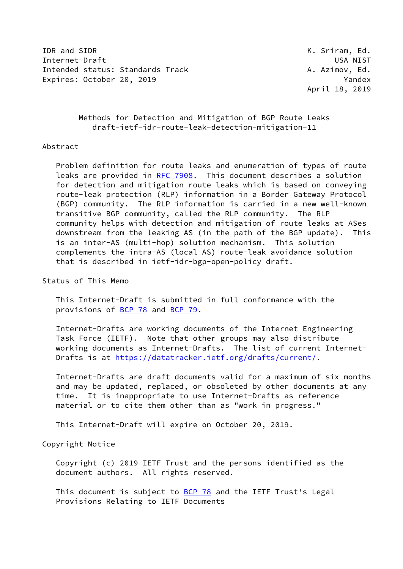IDR and SIDR **K. Sriram, Ed.** Internet-Draft USA NIST Intended status: Standards Track A. Azimov, Ed. Expires: October 20, 2019 **Yandex** 

April 18, 2019

 Methods for Detection and Mitigation of BGP Route Leaks draft-ietf-idr-route-leak-detection-mitigation-11

#### Abstract

 Problem definition for route leaks and enumeration of types of route leaks are provided in [RFC 7908](https://datatracker.ietf.org/doc/pdf/rfc7908). This document describes a solution for detection and mitigation route leaks which is based on conveying route-leak protection (RLP) information in a Border Gateway Protocol (BGP) community. The RLP information is carried in a new well-known transitive BGP community, called the RLP community. The RLP community helps with detection and mitigation of route leaks at ASes downstream from the leaking AS (in the path of the BGP update). This is an inter-AS (multi-hop) solution mechanism. This solution complements the intra-AS (local AS) route-leak avoidance solution that is described in ietf-idr-bgp-open-policy draft.

### Status of This Memo

 This Internet-Draft is submitted in full conformance with the provisions of [BCP 78](https://datatracker.ietf.org/doc/pdf/bcp78) and [BCP 79](https://datatracker.ietf.org/doc/pdf/bcp79).

 Internet-Drafts are working documents of the Internet Engineering Task Force (IETF). Note that other groups may also distribute working documents as Internet-Drafts. The list of current Internet- Drafts is at<https://datatracker.ietf.org/drafts/current/>.

 Internet-Drafts are draft documents valid for a maximum of six months and may be updated, replaced, or obsoleted by other documents at any time. It is inappropriate to use Internet-Drafts as reference material or to cite them other than as "work in progress."

This Internet-Draft will expire on October 20, 2019.

# Copyright Notice

 Copyright (c) 2019 IETF Trust and the persons identified as the document authors. All rights reserved.

This document is subject to [BCP 78](https://datatracker.ietf.org/doc/pdf/bcp78) and the IETF Trust's Legal Provisions Relating to IETF Documents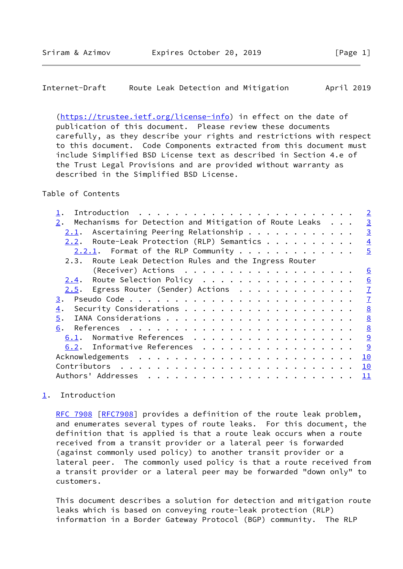<span id="page-1-1"></span>[\(https://trustee.ietf.org/license-info](https://trustee.ietf.org/license-info)) in effect on the date of publication of this document. Please review these documents carefully, as they describe your rights and restrictions with respect to this document. Code Components extracted from this document must include Simplified BSD License text as described in Section 4.e of the Trust Legal Provisions and are provided without warranty as described in the Simplified BSD License.

## Table of Contents

|                                                        | $\overline{2}$                                                                                                                                                                                                                                                                                             |
|--------------------------------------------------------|------------------------------------------------------------------------------------------------------------------------------------------------------------------------------------------------------------------------------------------------------------------------------------------------------------|
| 2.                                                     | $\overline{3}$                                                                                                                                                                                                                                                                                             |
| 2.1.                                                   | $\overline{3}$                                                                                                                                                                                                                                                                                             |
| 2.2.                                                   | $\overline{4}$                                                                                                                                                                                                                                                                                             |
|                                                        | $\overline{5}$                                                                                                                                                                                                                                                                                             |
| 2.3. Route Leak Detection Rules and the Ingress Router |                                                                                                                                                                                                                                                                                                            |
|                                                        | $6 \overline{6}$                                                                                                                                                                                                                                                                                           |
| 2.4.                                                   | 6                                                                                                                                                                                                                                                                                                          |
|                                                        | $\mathbf{I}$                                                                                                                                                                                                                                                                                               |
| 3.                                                     | $\overline{1}$                                                                                                                                                                                                                                                                                             |
| $\overline{4}$ .                                       | 8                                                                                                                                                                                                                                                                                                          |
| 5.                                                     | 8                                                                                                                                                                                                                                                                                                          |
| 6.                                                     | 8                                                                                                                                                                                                                                                                                                          |
|                                                        | 9                                                                                                                                                                                                                                                                                                          |
|                                                        | 9                                                                                                                                                                                                                                                                                                          |
|                                                        | 10                                                                                                                                                                                                                                                                                                         |
|                                                        | 10                                                                                                                                                                                                                                                                                                         |
| Authors' Addresses                                     | $\overline{11}$                                                                                                                                                                                                                                                                                            |
|                                                        | Mechanisms for Detection and Mitigation of Route Leaks<br>Ascertaining Peering Relationship<br>Route-Leak Protection (RLP) Semantics<br>$2.2.1$ . Format of the RLP Community<br>Route Selection Policy<br>2.5. Egress Router (Sender) Actions<br>6.1. Normative References<br>6.2. Informative References |

# <span id="page-1-0"></span>[1](#page-1-0). Introduction

[RFC 7908](https://datatracker.ietf.org/doc/pdf/rfc7908) [\[RFC7908](https://datatracker.ietf.org/doc/pdf/rfc7908)] provides a definition of the route leak problem, and enumerates several types of route leaks. For this document, the definition that is applied is that a route leak occurs when a route received from a transit provider or a lateral peer is forwarded (against commonly used policy) to another transit provider or a lateral peer. The commonly used policy is that a route received from a transit provider or a lateral peer may be forwarded "down only" to customers.

 This document describes a solution for detection and mitigation route leaks which is based on conveying route-leak protection (RLP) information in a Border Gateway Protocol (BGP) community. The RLP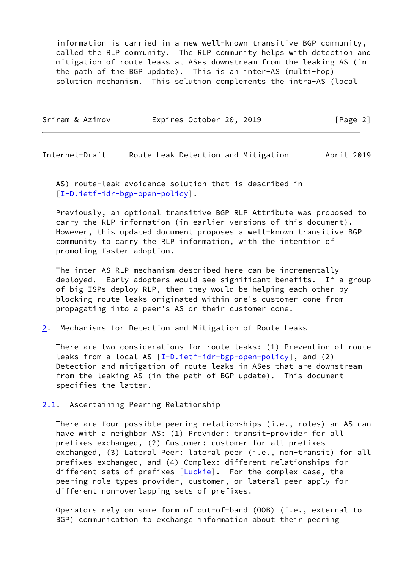information is carried in a new well-known transitive BGP community, called the RLP community. The RLP community helps with detection and mitigation of route leaks at ASes downstream from the leaking AS (in the path of the BGP update). This is an inter-AS (multi-hop) solution mechanism. This solution complements the intra-AS (local

| Expires October 20, 2019<br>Sriram & Azimov<br>[Page 2] |  |  |  |  |  |  |  |
|---------------------------------------------------------|--|--|--|--|--|--|--|
|---------------------------------------------------------|--|--|--|--|--|--|--|

<span id="page-2-1"></span>Internet-Draft Route Leak Detection and Mitigation April 2019

 AS) route-leak avoidance solution that is described in [\[I-D.ietf-idr-bgp-open-policy](#page-9-3)].

 Previously, an optional transitive BGP RLP Attribute was proposed to carry the RLP information (in earlier versions of this document). However, this updated document proposes a well-known transitive BGP community to carry the RLP information, with the intention of promoting faster adoption.

 The inter-AS RLP mechanism described here can be incrementally deployed. Early adopters would see significant benefits. If a group of big ISPs deploy RLP, then they would be helping each other by blocking route leaks originated within one's customer cone from propagating into a peer's AS or their customer cone.

<span id="page-2-0"></span>[2](#page-2-0). Mechanisms for Detection and Mitigation of Route Leaks

 There are two considerations for route leaks: (1) Prevention of route leaks from a local AS  $[I-D.iett-idr-bgp-open-policy]$ , and (2) Detection and mitigation of route leaks in ASes that are downstream from the leaking AS (in the path of BGP update). This document specifies the latter.

<span id="page-2-2"></span>[2.1](#page-2-2). Ascertaining Peering Relationship

 There are four possible peering relationships (i.e., roles) an AS can have with a neighbor AS: (1) Provider: transit-provider for all prefixes exchanged, (2) Customer: customer for all prefixes exchanged, (3) Lateral Peer: lateral peer (i.e., non-transit) for all prefixes exchanged, and (4) Complex: different relationships for different sets of prefixes [[Luckie](#page-9-4)]. For the complex case, the peering role types provider, customer, or lateral peer apply for different non-overlapping sets of prefixes.

 Operators rely on some form of out-of-band (OOB) (i.e., external to BGP) communication to exchange information about their peering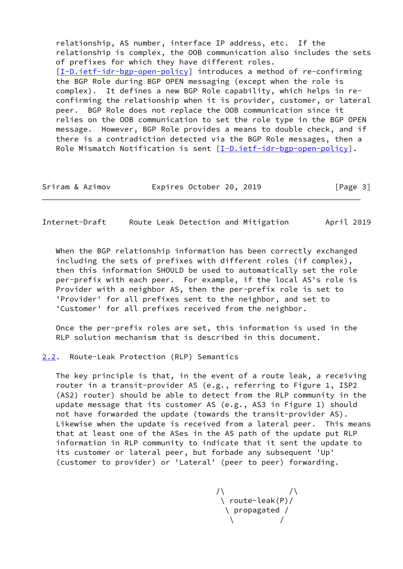relationship, AS number, interface IP address, etc. If the relationship is complex, the OOB communication also includes the sets of prefixes for which they have different roles. [\[I-D.ietf-idr-bgp-open-policy](#page-9-3)] introduces a method of re-confirming the BGP Role during BGP OPEN messaging (except when the role is complex). It defines a new BGP Role capability, which helps in re confirming the relationship when it is provider, customer, or lateral peer. BGP Role does not replace the OOB communication since it relies on the OOB communication to set the role type in the BGP OPEN message. However, BGP Role provides a means to double check, and if there is a contradiction detected via the BGP Role messages, then a Role Mismatch Notification is sent  $[I-D.ietf-idr-bgp-open-policy]$  $[I-D.ietf-idr-bgp-open-policy]$ .

| Sriram & Azimov |  | Expires October 20, 2019 |  |  | [Page 3] |  |  |
|-----------------|--|--------------------------|--|--|----------|--|--|
|-----------------|--|--------------------------|--|--|----------|--|--|

<span id="page-3-1"></span>Internet-Draft Route Leak Detection and Mitigation April 2019

 When the BGP relationship information has been correctly exchanged including the sets of prefixes with different roles (if complex), then this information SHOULD be used to automatically set the role per-prefix with each peer. For example, if the local AS's role is Provider with a neighbor AS, then the per-prefix role is set to 'Provider' for all prefixes sent to the neighbor, and set to 'Customer' for all prefixes received from the neighbor.

 Once the per-prefix roles are set, this information is used in the RLP solution mechanism that is described in this document.

<span id="page-3-0"></span>[2.2](#page-3-0). Route-Leak Protection (RLP) Semantics

 The key principle is that, in the event of a route leak, a receiving router in a transit-provider AS (e.g., referring to Figure 1, ISP2 (AS2) router) should be able to detect from the RLP community in the update message that its customer AS (e.g., AS3 in Figure 1) should not have forwarded the update (towards the transit-provider AS). Likewise when the update is received from a lateral peer. This means that at least one of the ASes in the AS path of the update put RLP information in RLP community to indicate that it sent the update to its customer or lateral peer, but forbade any subsequent 'Up' (customer to provider) or 'Lateral' (peer to peer) forwarding.

 $\sqrt{2}$  /  $\sqrt{2}$  /  $\sqrt{2}$  \ route-leak(P)/ \ propagated /  $\sqrt{2}$  /  $\sqrt{2}$  /  $\sqrt{2}$  /  $\sqrt{2}$  /  $\sqrt{2}$  /  $\sqrt{2}$  /  $\sqrt{2}$  /  $\sqrt{2}$  /  $\sqrt{2}$  /  $\sqrt{2}$  /  $\sqrt{2}$  /  $\sqrt{2}$  /  $\sqrt{2}$  /  $\sqrt{2}$  /  $\sqrt{2}$  /  $\sqrt{2}$  /  $\sqrt{2}$  /  $\sqrt{2}$  /  $\sqrt{2}$  /  $\sqrt{2}$  /  $\sqrt{2}$  /  $\sqrt{2}$  /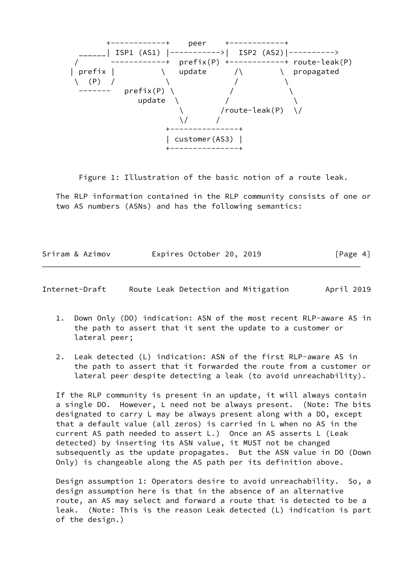

Figure 1: Illustration of the basic notion of a route leak.

 The RLP information contained in the RLP community consists of one or two AS numbers (ASNs) and has the following semantics:

| Sriram & Azimov | Expires October 20, 2019 |  | [Page 4] |
|-----------------|--------------------------|--|----------|
|                 |                          |  |          |

<span id="page-4-0"></span>Internet-Draft Route Leak Detection and Mitigation April 2019

- 1. Down Only (DO) indication: ASN of the most recent RLP-aware AS in the path to assert that it sent the update to a customer or lateral peer;
- 2. Leak detected (L) indication: ASN of the first RLP-aware AS in the path to assert that it forwarded the route from a customer or lateral peer despite detecting a leak (to avoid unreachability).

 If the RLP community is present in an update, it will always contain a single DO. However, L need not be always present. (Note: The bits designated to carry L may be always present along with a DO, except that a default value (all zeros) is carried in L when no AS in the current AS path needed to assert L.) Once an AS asserts L (Leak detected) by inserting its ASN value, it MUST not be changed subsequently as the update propagates. But the ASN value in DO (Down Only) is changeable along the AS path per its definition above.

 Design assumption 1: Operators desire to avoid unreachability. So, a design assumption here is that in the absence of an alternative route, an AS may select and forward a route that is detected to be a leak. (Note: This is the reason Leak detected (L) indication is part of the design.)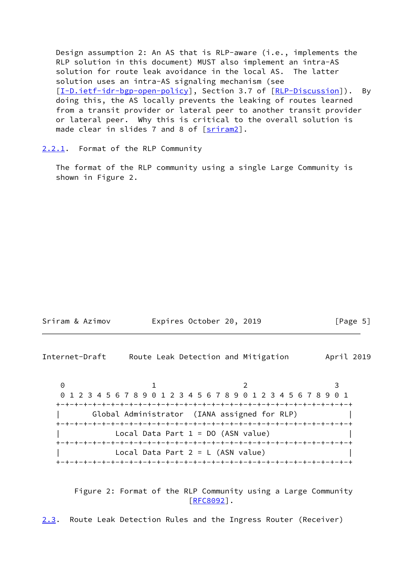Design assumption 2: An AS that is RLP-aware (i.e., implements the RLP solution in this document) MUST also implement an intra-AS solution for route leak avoidance in the local AS. The latter solution uses an intra-AS signaling mechanism (see [\[I-D.ietf-idr-bgp-open-policy](#page-9-3)], Section 3.7 of [\[RLP-Discussion](#page-10-1)]). By doing this, the AS locally prevents the leaking of routes learned from a transit provider or lateral peer to another transit provider or lateral peer. Why this is critical to the overall solution is made clear in slides  $7$  and  $8$  of  $[sriram2]$  $[sriram2]$ .

<span id="page-5-0"></span>[2.2.1](#page-5-0). Format of the RLP Community

 The format of the RLP community using a single Large Community is shown in Figure 2.

| Sriram & Azimov | Expires October 20, 2019 |  | [Page 5] |  |
|-----------------|--------------------------|--|----------|--|
|                 |                          |  |          |  |

<span id="page-5-1"></span>Internet-Draft Route Leak Detection and Mitigation April 2019

0 1 2 3 0 1 2 3 4 5 6 7 8 9 0 1 2 3 4 5 6 7 8 9 0 1 2 3 4 5 6 7 8 9 0 1 +-+-+-+-+-+-+-+-+-+-+-+-+-+-+-+-+-+-+-+-+-+-+-+-+-+-+-+-+-+-+-+-+ | Global Administrator (IANA assigned for RLP) | +-+-+-+-+-+-+-+-+-+-+-+-+-+-+-+-+-+-+-+-+-+-+-+-+-+-+-+-+-+-+-+-+ Local Data Part  $1 = DO (ASN value)$  +-+-+-+-+-+-+-+-+-+-+-+-+-+-+-+-+-+-+-+-+-+-+-+-+-+-+-+-+-+-+-+-+ Local Data Part  $2 = L$  (ASN value) +-+-+-+-+-+-+-+-+-+-+-+-+-+-+-+-+-+-+-+-+-+-+-+-+-+-+-+-+-+-+-+-+

 Figure 2: Format of the RLP Community using a Large Community [\[RFC8092](https://datatracker.ietf.org/doc/pdf/rfc8092)].

<span id="page-5-2"></span>[2.3](#page-5-2). Route Leak Detection Rules and the Ingress Router (Receiver)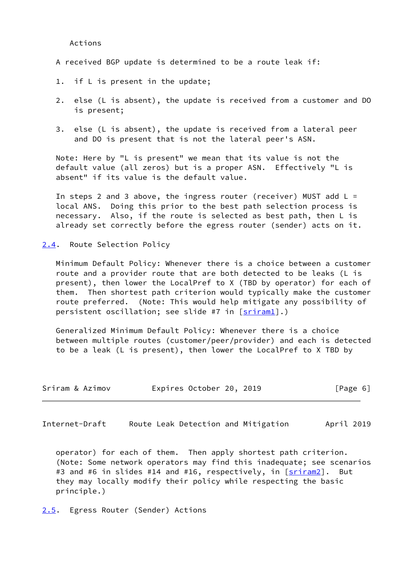Actions

A received BGP update is determined to be a route leak if:

- 1. if L is present in the update;
- 2. else (L is absent), the update is received from a customer and DO is present;
- 3. else (L is absent), the update is received from a lateral peer and DO is present that is not the lateral peer's ASN.

 Note: Here by "L is present" we mean that its value is not the default value (all zeros) but is a proper ASN. Effectively "L is absent" if its value is the default value.

In steps 2 and 3 above, the ingress router (receiver) MUST add  $L =$  local ANS. Doing this prior to the best path selection process is necessary. Also, if the route is selected as best path, then L is already set correctly before the egress router (sender) acts on it.

<span id="page-6-0"></span>[2.4](#page-6-0). Route Selection Policy

 Minimum Default Policy: Whenever there is a choice between a customer route and a provider route that are both detected to be leaks (L is present), then lower the LocalPref to X (TBD by operator) for each of them. Then shortest path criterion would typically make the customer route preferred. (Note: This would help mitigate any possibility of persistent oscillation; see slide #7 in [\[sriram1](#page-10-3)].)

 Generalized Minimum Default Policy: Whenever there is a choice between multiple routes (customer/peer/provider) and each is detected to be a leak (L is present), then lower the LocalPref to X TBD by

| Sriram & Azimov | Expires October 20, 2019 | [Page 6] |
|-----------------|--------------------------|----------|
|-----------------|--------------------------|----------|

<span id="page-6-2"></span>Internet-Draft Route Leak Detection and Mitigation April 2019

 operator) for each of them. Then apply shortest path criterion. (Note: Some network operators may find this inadequate; see scenarios #3 and #6 in slides #14 and #16, respectively, in [[sriram2](#page-10-2)]. But they may locally modify their policy while respecting the basic principle.)

<span id="page-6-1"></span>[2.5](#page-6-1). Egress Router (Sender) Actions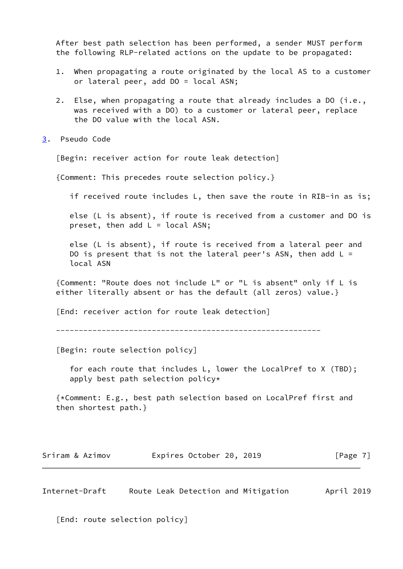After best path selection has been performed, a sender MUST perform the following RLP-related actions on the update to be propagated:

- 1. When propagating a route originated by the local AS to a customer or lateral peer, add DO = local ASN;
- 2. Else, when propagating a route that already includes a DO (i.e., was received with a DO) to a customer or lateral peer, replace the DO value with the local ASN.
- <span id="page-7-0"></span>[3](#page-7-0). Pseudo Code

[Begin: receiver action for route leak detection]

{Comment: This precedes route selection policy.}

if received route includes L, then save the route in RIB-in as is;

 else (L is absent), if route is received from a customer and DO is preset, then add  $L =$  local ASN;

 else (L is absent), if route is received from a lateral peer and DO is present that is not the lateral peer's ASN, then add  $L =$ local ASN

 {Comment: "Route does not include L" or "L is absent" only if L is either literally absent or has the default (all zeros) value.}

[End: receiver action for route leak detection]

----------------------------------------------------------

[Begin: route selection policy]

 for each route that includes L, lower the LocalPref to X (TBD); apply best path selection policy\*

 {\*Comment: E.g., best path selection based on LocalPref first and then shortest path.}

| Sriram & Azimov | Expires October 20, 2019 | [Page 7] |
|-----------------|--------------------------|----------|
|                 |                          |          |

<span id="page-7-1"></span>Internet-Draft Route Leak Detection and Mitigation April 2019

[End: route selection policy]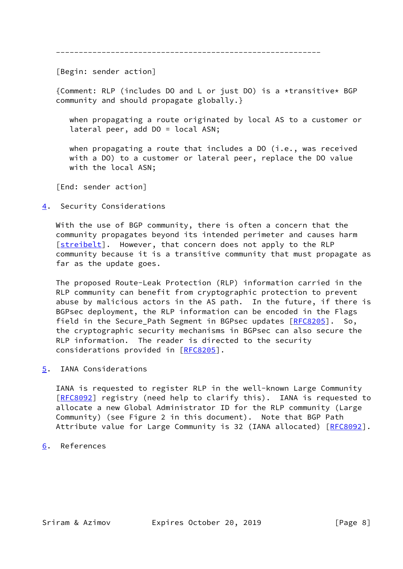----------------------------------------------------------

[Begin: sender action]

 {Comment: RLP (includes DO and L or just DO) is a \*transitive\* BGP community and should propagate globally.}

 when propagating a route originated by local AS to a customer or lateral peer, add DO = local ASN;

when propagating a route that includes a DO (i.e., was received with a DO) to a customer or lateral peer, replace the DO value with the local ASN;

[End: sender action]

<span id="page-8-0"></span>[4](#page-8-0). Security Considerations

 With the use of BGP community, there is often a concern that the community propagates beyond its intended perimeter and causes harm [\[streibelt](#page-10-4)]. However, that concern does not apply to the RLP community because it is a transitive community that must propagate as far as the update goes.

 The proposed Route-Leak Protection (RLP) information carried in the RLP community can benefit from cryptographic protection to prevent abuse by malicious actors in the AS path. In the future, if there is BGPsec deployment, the RLP information can be encoded in the Flags field in the Secure\_Path Segment in BGPsec updates [[RFC8205\]](https://datatracker.ietf.org/doc/pdf/rfc8205). So, the cryptographic security mechanisms in BGPsec can also secure the RLP information. The reader is directed to the security considerations provided in [[RFC8205\]](https://datatracker.ietf.org/doc/pdf/rfc8205).

<span id="page-8-1"></span>[5](#page-8-1). IANA Considerations

 IANA is requested to register RLP in the well-known Large Community [\[RFC8092](https://datatracker.ietf.org/doc/pdf/rfc8092)] registry (need help to clarify this). IANA is requested to allocate a new Global Administrator ID for the RLP community (Large Community) (see Figure 2 in this document). Note that BGP Path Attribute value for Large Community is 32 (IANA allocated) [[RFC8092\]](https://datatracker.ietf.org/doc/pdf/rfc8092).

<span id="page-8-2"></span>[6](#page-8-2). References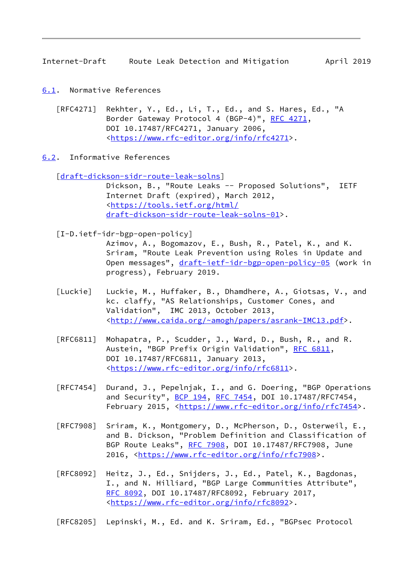<span id="page-9-1"></span>Internet-Draft Route Leak Detection and Mitigation April 2019

- <span id="page-9-0"></span>[6.1](#page-9-0). Normative References
	- [RFC4271] Rekhter, Y., Ed., Li, T., Ed., and S. Hares, Ed., "A Border Gateway Protocol 4 (BGP-4)", [RFC 4271,](https://datatracker.ietf.org/doc/pdf/rfc4271) DOI 10.17487/RFC4271, January 2006, <[https://www.rfc-editor.org/info/rfc4271>](https://www.rfc-editor.org/info/rfc4271).
- <span id="page-9-2"></span>[6.2](#page-9-2). Informative References

[\[draft-dickson-sidr-route-leak-solns](https://datatracker.ietf.org/doc/pdf/draft-dickson-sidr-route-leak-solns)]

 Dickson, B., "Route Leaks -- Proposed Solutions", IETF Internet Draft (expired), March 2012, <[https://tools.ietf.org/html/](https://tools.ietf.org/html/draft-dickson-sidr-route-leak-solns-01) [draft-dickson-sidr-route-leak-solns-01](https://tools.ietf.org/html/draft-dickson-sidr-route-leak-solns-01)>.

<span id="page-9-3"></span>[I-D.ietf-idr-bgp-open-policy]

 Azimov, A., Bogomazov, E., Bush, R., Patel, K., and K. Sriram, "Route Leak Prevention using Roles in Update and Open messages", [draft-ietf-idr-bgp-open-policy-05](https://datatracker.ietf.org/doc/pdf/draft-ietf-idr-bgp-open-policy-05) (work in progress), February 2019.

- <span id="page-9-4"></span> [Luckie] Luckie, M., Huffaker, B., Dhamdhere, A., Giotsas, V., and kc. claffy, "AS Relationships, Customer Cones, and Validation", IMC 2013, October 2013, <[http://www.caida.org/~amogh/papers/asrank-IMC13.pdf>](http://www.caida.org/~amogh/papers/asrank-IMC13.pdf).
- [RFC6811] Mohapatra, P., Scudder, J., Ward, D., Bush, R., and R. Austein, "BGP Prefix Origin Validation", [RFC 6811,](https://datatracker.ietf.org/doc/pdf/rfc6811) DOI 10.17487/RFC6811, January 2013, <[https://www.rfc-editor.org/info/rfc6811>](https://www.rfc-editor.org/info/rfc6811).
- [RFC7454] Durand, J., Pepelnjak, I., and G. Doering, "BGP Operations and Security", [BCP 194](https://datatracker.ietf.org/doc/pdf/bcp194), [RFC 7454,](https://datatracker.ietf.org/doc/pdf/rfc7454) DOI 10.17487/RFC7454, February 2015, <<https://www.rfc-editor.org/info/rfc7454>>.
- [RFC7908] Sriram, K., Montgomery, D., McPherson, D., Osterweil, E., and B. Dickson, "Problem Definition and Classification of BGP Route Leaks", [RFC 7908](https://datatracker.ietf.org/doc/pdf/rfc7908), DOI 10.17487/RFC7908, June 2016, [<https://www.rfc-editor.org/info/rfc7908](https://www.rfc-editor.org/info/rfc7908)>.
- [RFC8092] Heitz, J., Ed., Snijders, J., Ed., Patel, K., Bagdonas, I., and N. Hilliard, "BGP Large Communities Attribute", [RFC 8092,](https://datatracker.ietf.org/doc/pdf/rfc8092) DOI 10.17487/RFC8092, February 2017, <[https://www.rfc-editor.org/info/rfc8092>](https://www.rfc-editor.org/info/rfc8092).

[RFC8205] Lepinski, M., Ed. and K. Sriram, Ed., "BGPsec Protocol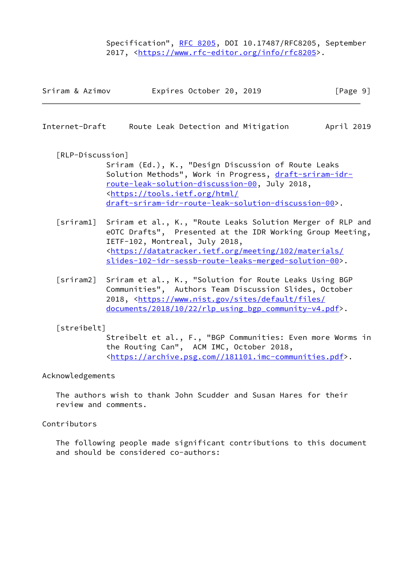Specification", [RFC 8205,](https://datatracker.ietf.org/doc/pdf/rfc8205) DOI 10.17487/RFC8205, September 2017, [<https://www.rfc-editor.org/info/rfc8205](https://www.rfc-editor.org/info/rfc8205)>.

| Expires October 20, 2019<br>Sriram & Azimov | [Page 9] |
|---------------------------------------------|----------|
|---------------------------------------------|----------|

<span id="page-10-0"></span>Internet-Draft Route Leak Detection and Mitigation April 2019

<span id="page-10-1"></span>[RLP-Discussion]

 Sriram (Ed.), K., "Design Discussion of Route Leaks Solution Methods", Work in Progress, [draft-sriram-idr](https://datatracker.ietf.org/doc/pdf/draft-sriram-idr-route-leak-solution-discussion-00) [route-leak-solution-discussion-00,](https://datatracker.ietf.org/doc/pdf/draft-sriram-idr-route-leak-solution-discussion-00) July 2018, <[https://tools.ietf.org/html/](https://tools.ietf.org/html/draft-sriram-idr-route-leak-solution-discussion-00) [draft-sriram-idr-route-leak-solution-discussion-00>](https://tools.ietf.org/html/draft-sriram-idr-route-leak-solution-discussion-00).

- <span id="page-10-3"></span>[sriram1] Sriram et al., K., "Route Leaks Solution Merger of RLP and eOTC Drafts", Presented at the IDR Working Group Meeting, IETF-102, Montreal, July 2018, <[https://datatracker.ietf.org/meeting/102/materials/](https://datatracker.ietf.org/meeting/102/materials/slides-102-idr-sessb-route-leaks-merged-solution-00) [slides-102-idr-sessb-route-leaks-merged-solution-00](https://datatracker.ietf.org/meeting/102/materials/slides-102-idr-sessb-route-leaks-merged-solution-00)>.
- <span id="page-10-2"></span> [sriram2] Sriram et al., K., "Solution for Route Leaks Using BGP Communities", Authors Team Discussion Slides, October 2018, [<https://www.nist.gov/sites/default/files/](https://www.nist.gov/sites/default/files/documents/2018/10/22/rlp_using_bgp_community-v4.pdf) [documents/2018/10/22/rlp\\_using\\_bgp\\_community-v4.pdf](https://www.nist.gov/sites/default/files/documents/2018/10/22/rlp_using_bgp_community-v4.pdf)>.

<span id="page-10-4"></span>[streibelt]

 Streibelt et al., F., "BGP Communities: Even more Worms in the Routing Can", ACM IMC, October 2018, <[https://archive.psg.com//181101.imc-communities.pdf>](https://archive.psg.com//181101.imc-communities.pdf).

#### Acknowledgements

 The authors wish to thank John Scudder and Susan Hares for their review and comments.

Contributors

 The following people made significant contributions to this document and should be considered co-authors: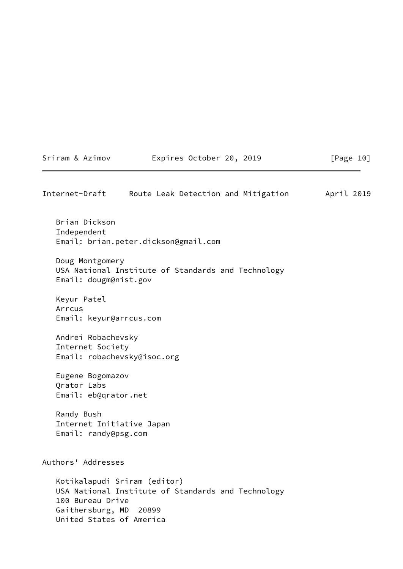<span id="page-11-0"></span>

| Internet-Draft                                                         | Route Leak Detection and Mitigation                                                | April 2019 |
|------------------------------------------------------------------------|------------------------------------------------------------------------------------|------------|
| Brian Dickson<br>Independent                                           | Email: brian.peter.dickson@gmail.com                                               |            |
| Doug Montgomery<br>Email: dougm@nist.gov                               | USA National Institute of Standards and Technology                                 |            |
| Keyur Patel<br>Arrcus<br>Email: keyur@arrcus.com                       |                                                                                    |            |
| Andrei Robachevsky<br>Internet Society                                 | Email: robachevsky@isoc.org                                                        |            |
| Eugene Bogomazov<br>Qrator Labs<br>Email: eb@qrator.net                |                                                                                    |            |
| Randy Bush<br>Internet Initiative Japan<br>Email: randy@psg.com        |                                                                                    |            |
| Authors' Addresses                                                     |                                                                                    |            |
| 100 Bureau Drive<br>Gaithersburg, MD 20899<br>United States of America | Kotikalapudi Sriram (editor)<br>USA National Institute of Standards and Technology |            |

Sriram & Azimov Expires October 20, 2019 [Page 10]